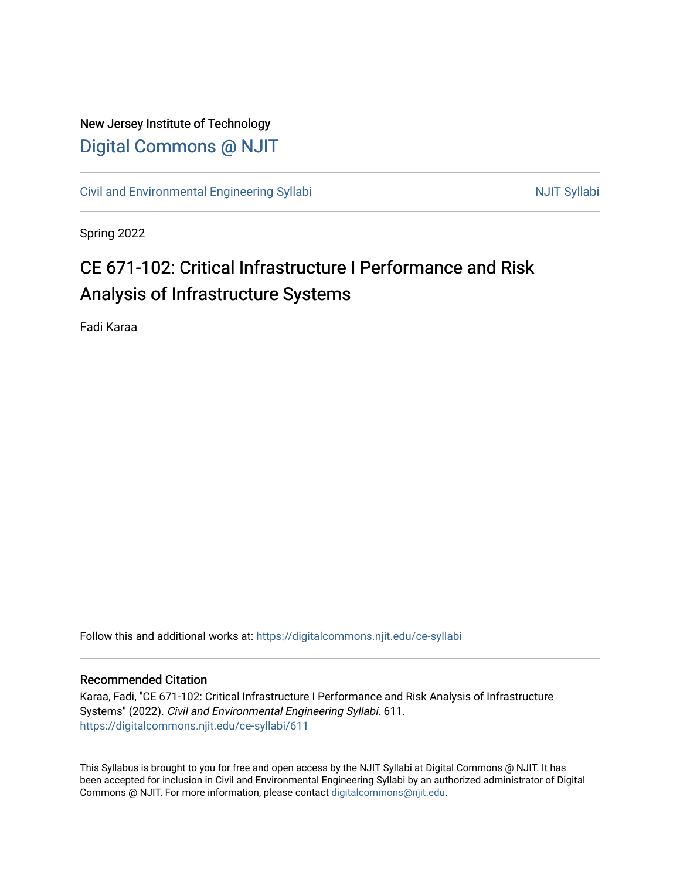## New Jersey Institute of Technology [Digital Commons @ NJIT](https://digitalcommons.njit.edu/)

[Civil and Environmental Engineering Syllabi](https://digitalcommons.njit.edu/ce-syllabi) Nulle and Syllabi NJIT Syllabi

Spring 2022

# CE 671-102: Critical Infrastructure I Performance and Risk Analysis of Infrastructure Systems

Fadi Karaa

Follow this and additional works at: [https://digitalcommons.njit.edu/ce-syllabi](https://digitalcommons.njit.edu/ce-syllabi?utm_source=digitalcommons.njit.edu%2Fce-syllabi%2F611&utm_medium=PDF&utm_campaign=PDFCoverPages)

#### Recommended Citation

Karaa, Fadi, "CE 671-102: Critical Infrastructure I Performance and Risk Analysis of Infrastructure Systems" (2022). Civil and Environmental Engineering Syllabi. 611. [https://digitalcommons.njit.edu/ce-syllabi/611](https://digitalcommons.njit.edu/ce-syllabi/611?utm_source=digitalcommons.njit.edu%2Fce-syllabi%2F611&utm_medium=PDF&utm_campaign=PDFCoverPages)

This Syllabus is brought to you for free and open access by the NJIT Syllabi at Digital Commons @ NJIT. It has been accepted for inclusion in Civil and Environmental Engineering Syllabi by an authorized administrator of Digital Commons @ NJIT. For more information, please contact [digitalcommons@njit.edu.](mailto:digitalcommons@njit.edu)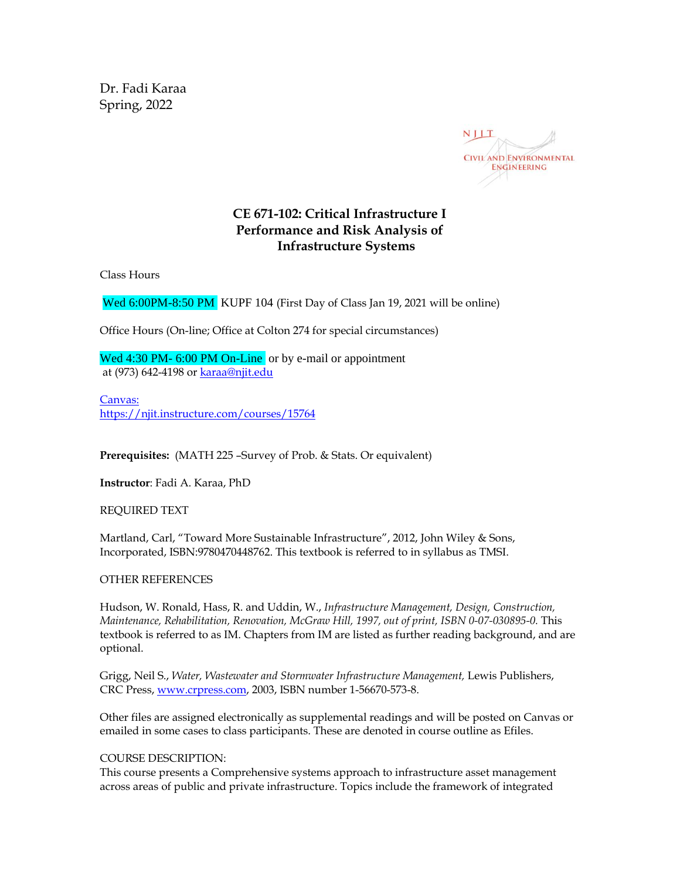Dr. Fadi Karaa Spring, 2022



### **CE 671-102: Critical Infrastructure I Performance and Risk Analysis of Infrastructure Systems**

Class Hours

Wed 6:00PM-8:50 PM KUPF 104 (First Day of Class Jan 19, 2021 will be online)

Office Hours (On-line; Office at Colton 274 for special circumstances)

Wed 4:30 PM- 6:00 PM On-Line or by e-mail or appointment at (973) 642-4198 or [karaa@njit.edu](mailto:karaa@njit.edu)

Canvas: <https://njit.instructure.com/courses/15764>

**Prerequisites:** (MATH 225 –Survey of Prob. & Stats. Or equivalent)

**Instructor**: Fadi A. Karaa, PhD

REQUIRED TEXT

Martland, Carl, "Toward More Sustainable Infrastructure", 2012, John Wiley & Sons, Incorporated, ISBN:9780470448762. This textbook is referred to in syllabus as TMSI.

#### OTHER REFERENCES

Hudson, W. Ronald, Hass, R. and Uddin, W., *Infrastructure Management, Design, Construction, Maintenance, Rehabilitation, Renovation, McGraw Hill, 1997, out of print, ISBN 0-07-030895-0.* This textbook is referred to as IM. Chapters from IM are listed as further reading background, and are optional.

Grigg, Neil S., *Water, Wastewater and Stormwater Infrastructure Management,* Lewis Publishers, CRC Press[, www.crpress.com,](http://www.crpress.com/) 2003, ISBN number 1-56670-573-8.

Other files are assigned electronically as supplemental readings and will be posted on Canvas or emailed in some cases to class participants. These are denoted in course outline as Efiles.

#### COURSE DESCRIPTION:

This course presents a Comprehensive systems approach to infrastructure asset management across areas of public and private infrastructure. Topics include the framework of integrated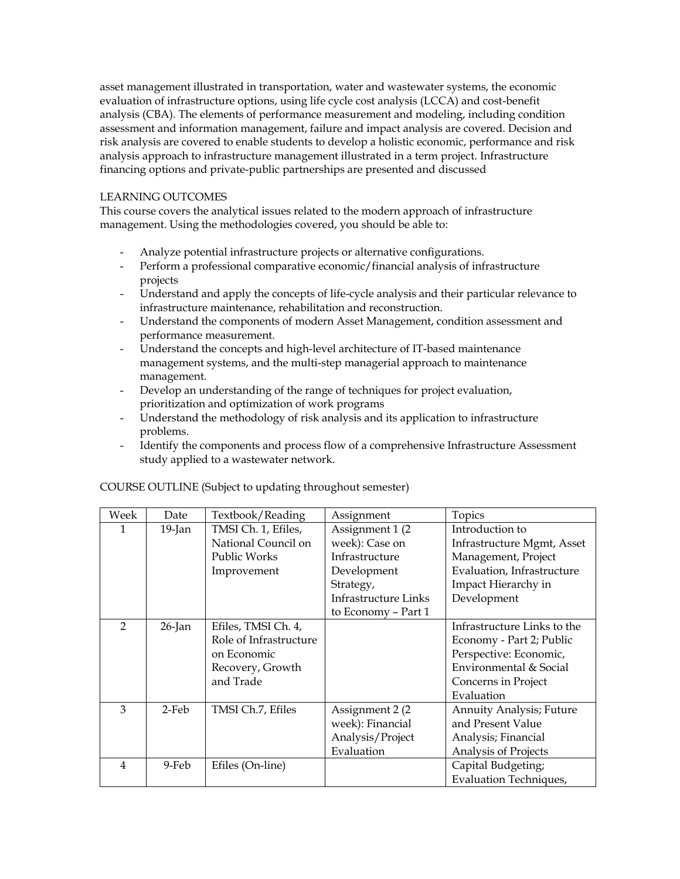asset management illustrated in transportation, water and wastewater systems, the economic evaluation of infrastructure options, using life cycle cost analysis (LCCA) and cost-benefit analysis (CBA). The elements of performance measurement and modeling, including condition assessment and information management, failure and impact analysis are covered. Decision and risk analysis are covered to enable students to develop a holistic economic, performance and risk analysis approach to infrastructure management illustrated in a term project. Infrastructure financing options and private-public partnerships are presented and discussed

#### LEARNING OUTCOMES

This course covers the analytical issues related to the modern approach of infrastructure management. Using the methodologies covered, you should be able to:

- Analyze potential infrastructure projects or alternative configurations.
- Perform a professional comparative economic/financial analysis of infrastructure projects
- Understand and apply the concepts of life-cycle analysis and their particular relevance to infrastructure maintenance, rehabilitation and reconstruction.
- Understand the components of modern Asset Management, condition assessment and performance measurement.
- Understand the concepts and high-level architecture of IT-based maintenance management systems, and the multi-step managerial approach to maintenance management.
- Develop an understanding of the range of techniques for project evaluation, prioritization and optimization of work programs
- Understand the methodology of risk analysis and its application to infrastructure problems.
- Identify the components and process flow of a comprehensive Infrastructure Assessment study applied to a wastewater network.

| Week           | Date      | Textbook/Reading       | Assignment           | Topics                          |
|----------------|-----------|------------------------|----------------------|---------------------------------|
| 1              | $19$ -Jan | TMSI Ch. 1, Efiles,    | Assignment 1 (2)     | Introduction to                 |
|                |           | National Council on    | week): Case on       | Infrastructure Mgmt, Asset      |
|                |           | Public Works           | Infrastructure       | Management, Project             |
|                |           | Improvement            | Development          | Evaluation, Infrastructure      |
|                |           |                        | Strategy,            | Impact Hierarchy in             |
|                |           |                        | Infrastructure Links | Development                     |
|                |           |                        | to Economy - Part 1  |                                 |
| $\overline{2}$ | $26$ -Jan | Efiles, TMSI Ch. 4,    |                      | Infrastructure Links to the     |
|                |           | Role of Infrastructure |                      | Economy - Part 2; Public        |
|                |           | on Economic            |                      | Perspective: Economic,          |
|                |           | Recovery, Growth       |                      | Environmental & Social          |
|                |           | and Trade              |                      | Concerns in Project             |
|                |           |                        |                      | Evaluation                      |
| 3              | 2-Feb     | TMSI Ch.7, Efiles      | Assignment 2 (2)     | <b>Annuity Analysis; Future</b> |
|                |           |                        | week): Financial     | and Present Value               |
|                |           |                        | Analysis/Project     | Analysis; Financial             |
|                |           |                        | Evaluation           | Analysis of Projects            |
| 4              | 9-Feb     | Efiles (On-line)       |                      | Capital Budgeting;              |
|                |           |                        |                      | <b>Evaluation Techniques,</b>   |

COURSE OUTLINE (Subject to updating throughout semester)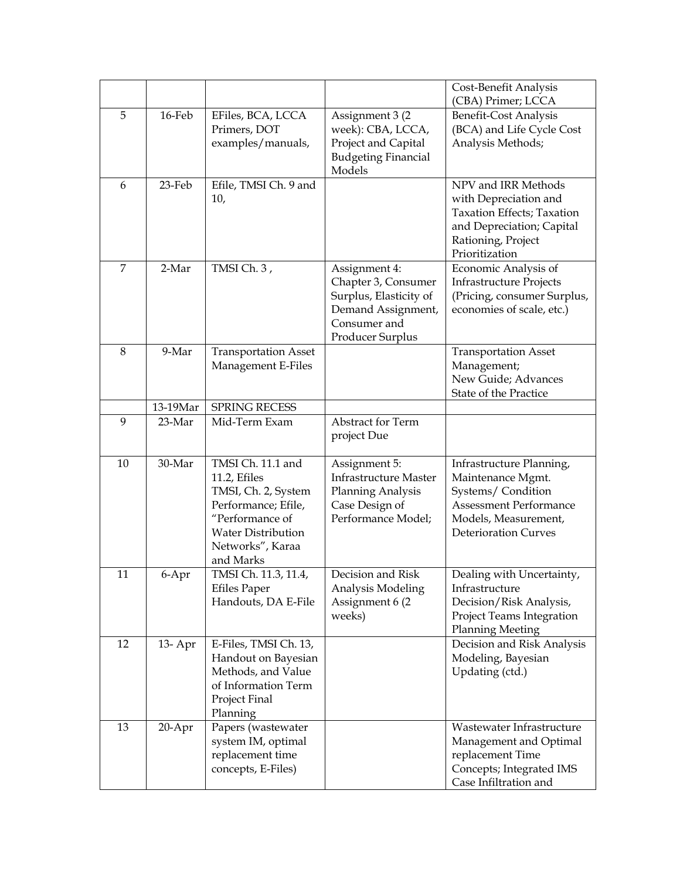|                |           |                                                                                                                                                                  |                                                                                                            | Cost-Benefit Analysis<br>(CBA) Primer; LCCA                                                                                                                |
|----------------|-----------|------------------------------------------------------------------------------------------------------------------------------------------------------------------|------------------------------------------------------------------------------------------------------------|------------------------------------------------------------------------------------------------------------------------------------------------------------|
| 5              | 16-Feb    | EFiles, BCA, LCCA<br>Primers, DOT<br>examples/manuals,                                                                                                           | Assignment 3 (2)<br>week): CBA, LCCA,<br>Project and Capital<br><b>Budgeting Financial</b><br>Models       | <b>Benefit-Cost Analysis</b><br>(BCA) and Life Cycle Cost<br>Analysis Methods;                                                                             |
| 6              | 23-Feb    | Efile, TMSI Ch. 9 and<br>10,                                                                                                                                     |                                                                                                            | NPV and IRR Methods<br>with Depreciation and<br>Taxation Effects; Taxation<br>and Depreciation; Capital<br>Rationing, Project<br>Prioritization            |
| $\overline{7}$ | 2-Mar     | TMSI Ch. 3,<br>Assignment 4:<br>Chapter 3, Consumer<br>Surplus, Elasticity of<br>Demand Assignment,<br>Consumer and<br>Producer Surplus                          |                                                                                                            | Economic Analysis of<br><b>Infrastructure Projects</b><br>(Pricing, consumer Surplus,<br>economies of scale, etc.)                                         |
| 8              | 9-Mar     | <b>Transportation Asset</b><br>Management E-Files                                                                                                                |                                                                                                            | <b>Transportation Asset</b><br>Management;<br>New Guide; Advances<br>State of the Practice                                                                 |
|                | 13-19Mar  | SPRING RECESS                                                                                                                                                    |                                                                                                            |                                                                                                                                                            |
| 9              | 23-Mar    | Mid-Term Exam                                                                                                                                                    | Abstract for Term<br>project Due                                                                           |                                                                                                                                                            |
| 10             | 30-Mar    | TMSI Ch. 11.1 and<br>11.2, Efiles<br>TMSI, Ch. 2, System<br>Performance; Efile,<br>"Performance of<br><b>Water Distribution</b><br>Networks", Karaa<br>and Marks | Assignment 5:<br><b>Infrastructure Master</b><br>Planning Analysis<br>Case Design of<br>Performance Model; | Infrastructure Planning,<br>Maintenance Mgmt.<br>Systems/Condition<br><b>Assessment Performance</b><br>Models, Measurement,<br><b>Deterioration Curves</b> |
| 11             | 6-Apr     | TMSI Ch. 11.3, 11.4,<br><b>Efiles Paper</b><br>Handouts, DA E-File                                                                                               | Decision and Risk<br>Analysis Modeling<br>Assignment 6 (2)<br>weeks)                                       | Dealing with Uncertainty,<br>Infrastructure<br>Decision/Risk Analysis,<br>Project Teams Integration<br><b>Planning Meeting</b>                             |
| 12             | 13- Apr   | E-Files, TMSI Ch. 13,<br>Handout on Bayesian<br>Methods, and Value<br>of Information Term<br>Project Final<br>Planning                                           |                                                                                                            | Decision and Risk Analysis<br>Modeling, Bayesian<br>Updating (ctd.)                                                                                        |
| 13             | $20$ -Apr | Papers (wastewater<br>system IM, optimal<br>replacement time<br>concepts, E-Files)                                                                               |                                                                                                            | Wastewater Infrastructure<br>Management and Optimal<br>replacement Time<br>Concepts; Integrated IMS<br>Case Infiltration and                               |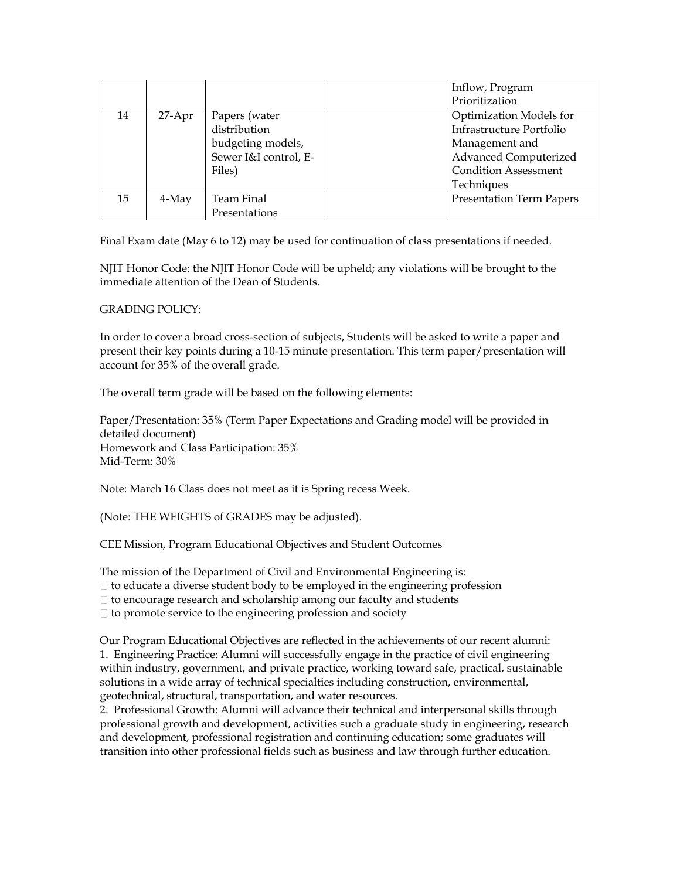|    |          |                       | Inflow, Program                 |
|----|----------|-----------------------|---------------------------------|
|    |          |                       | Prioritization                  |
| 14 | $27-Apr$ | Papers (water         | Optimization Models for         |
|    |          | distribution          | Infrastructure Portfolio        |
|    |          | budgeting models,     | Management and                  |
|    |          | Sewer I&I control, E- | Advanced Computerized           |
|    |          | Files)                | <b>Condition Assessment</b>     |
|    |          |                       | Techniques                      |
| 15 | 4-May    | Team Final            | <b>Presentation Term Papers</b> |
|    |          | Presentations         |                                 |

Final Exam date (May 6 to 12) may be used for continuation of class presentations if needed.

NJIT Honor Code: the NJIT Honor Code will be upheld; any violations will be brought to the immediate attention of the Dean of Students.

#### GRADING POLICY:

In order to cover a broad cross-section of subjects, Students will be asked to write a paper and present their key points during a 10-15 minute presentation. This term paper/presentation will account for 35% of the overall grade.

The overall term grade will be based on the following elements:

Paper/Presentation: 35% (Term Paper Expectations and Grading model will be provided in detailed document) Homework and Class Participation: 35% Mid-Term: 30%

Note: March 16 Class does not meet as it is Spring recess Week.

(Note: THE WEIGHTS of GRADES may be adjusted).

CEE Mission, Program Educational Objectives and Student Outcomes

The mission of the Department of Civil and Environmental Engineering is:

- $\Box$  to educate a diverse student body to be employed in the engineering profession
- $\Box$  to encourage research and scholarship among our faculty and students

 $\Box$  to promote service to the engineering profession and society

Our Program Educational Objectives are reflected in the achievements of our recent alumni: 1. Engineering Practice: Alumni will successfully engage in the practice of civil engineering within industry, government, and private practice, working toward safe, practical, sustainable solutions in a wide array of technical specialties including construction, environmental, geotechnical, structural, transportation, and water resources.

2. Professional Growth: Alumni will advance their technical and interpersonal skills through professional growth and development, activities such a graduate study in engineering, research and development, professional registration and continuing education; some graduates will transition into other professional fields such as business and law through further education.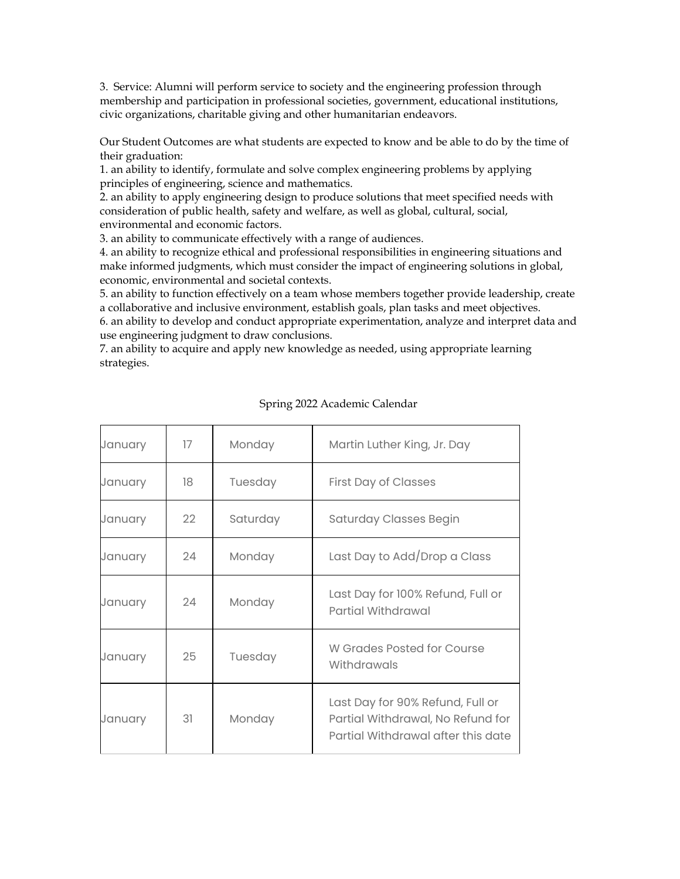3. Service: Alumni will perform service to society and the engineering profession through membership and participation in professional societies, government, educational institutions, civic organizations, charitable giving and other humanitarian endeavors.

Our Student Outcomes are what students are expected to know and be able to do by the time of their graduation:

1. an ability to identify, formulate and solve complex engineering problems by applying principles of engineering, science and mathematics.

2. an ability to apply engineering design to produce solutions that meet specified needs with consideration of public health, safety and welfare, as well as global, cultural, social, environmental and economic factors.

3. an ability to communicate effectively with a range of audiences.

4. an ability to recognize ethical and professional responsibilities in engineering situations and make informed judgments, which must consider the impact of engineering solutions in global, economic, environmental and societal contexts.

5. an ability to function effectively on a team whose members together provide leadership, create a collaborative and inclusive environment, establish goals, plan tasks and meet objectives.

6. an ability to develop and conduct appropriate experimentation, analyze and interpret data and use engineering judgment to draw conclusions.

7. an ability to acquire and apply new knowledge as needed, using appropriate learning strategies.

| January | 17 | Monday   | Martin Luther King, Jr. Day                                                                                 |
|---------|----|----------|-------------------------------------------------------------------------------------------------------------|
| January | 18 | Tuesday  | <b>First Day of Classes</b>                                                                                 |
| January | 22 | Saturday | <b>Saturday Classes Begin</b>                                                                               |
| January | 24 | Monday   | Last Day to Add/Drop a Class                                                                                |
| January | 24 | Monday   | Last Day for 100% Refund, Full or<br><b>Partial Withdrawal</b>                                              |
| January | 25 | Tuesday  | W Grades Posted for Course<br>Withdrawals                                                                   |
| January | 31 | Monday   | Last Day for 90% Refund, Full or<br>Partial Withdrawal, No Refund for<br>Partial Withdrawal after this date |

#### Spring 2022 Academic Calendar